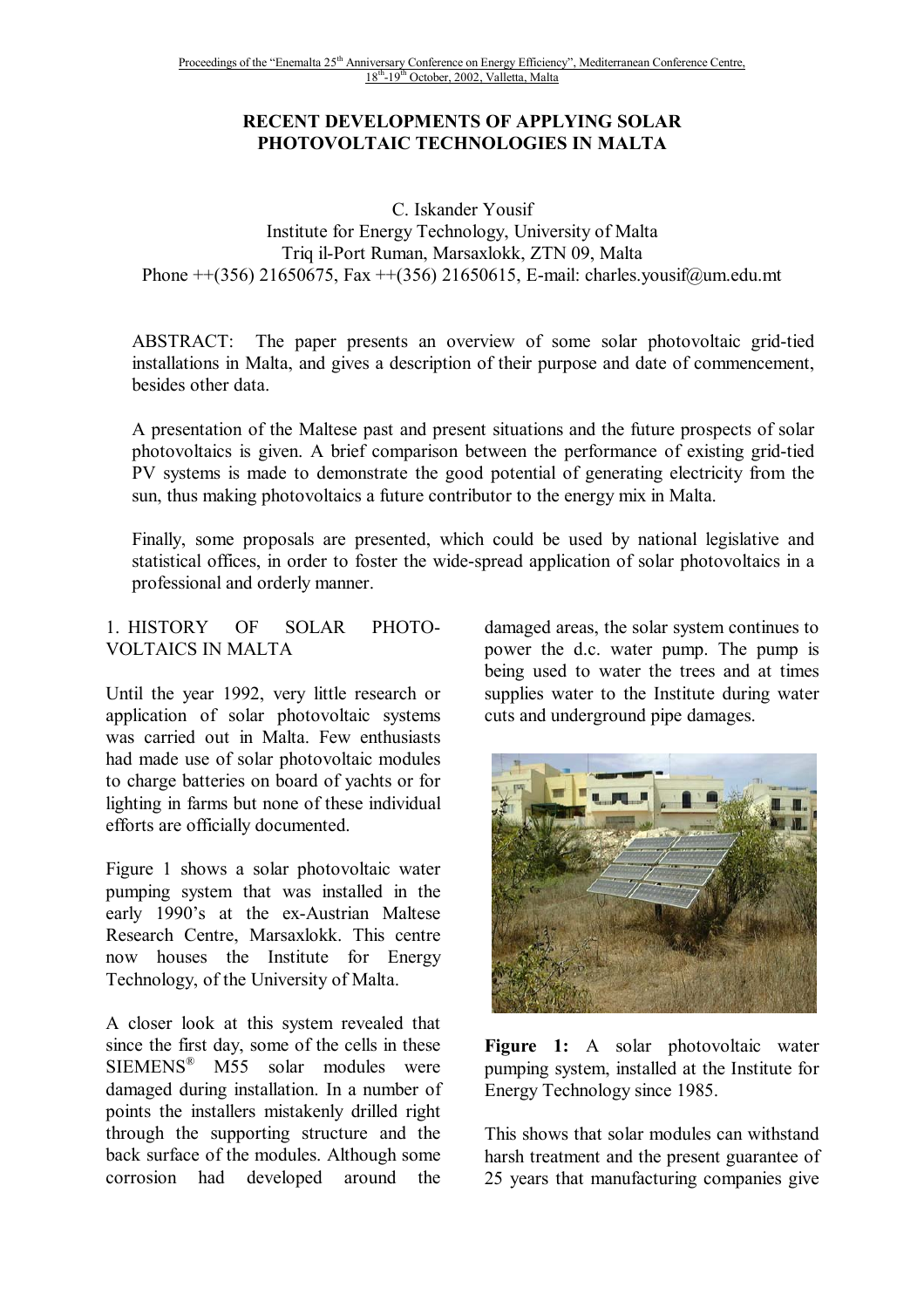## **RECENT DEVELOPMENTS OF APPLYING SOLAR PHOTOVOLTAIC TECHNOLOGIES IN MALTA**

C. Iskander Yousif Institute for Energy Technology, University of Malta Triq il-Port Ruman, Marsaxlokk, ZTN 09, Malta Phone ++(356) 21650675, Fax ++(356) 21650615, E-mail: charles.yousif@um.edu.mt

ABSTRACT: The paper presents an overview of some solar photovoltaic grid-tied installations in Malta, and gives a description of their purpose and date of commencement, besides other data.

A presentation of the Maltese past and present situations and the future prospects of solar photovoltaics is given. A brief comparison between the performance of existing grid-tied PV systems is made to demonstrate the good potential of generating electricity from the sun, thus making photovoltaics a future contributor to the energy mix in Malta.

Finally, some proposals are presented, which could be used by national legislative and statistical offices, in order to foster the wide-spread application of solar photovoltaics in a professional and orderly manner.

#### 1. HISTORY OF SOLAR PHOTO-VOLTAICS IN MALTA

Until the year 1992, very little research or application of solar photovoltaic systems was carried out in Malta. Few enthusiasts had made use of solar photovoltaic modules to charge batteries on board of yachts or for lighting in farms but none of these individual efforts are officially documented.

Figure 1 shows a solar photovoltaic water pumping system that was installed in the early 1990's at the ex-Austrian Maltese Research Centre, Marsaxlokk. This centre now houses the Institute for Energy Technology, of the University of Malta.

A closer look at this system revealed that since the first day, some of the cells in these SIEMENS® M55 solar modules were damaged during installation. In a number of points the installers mistakenly drilled right through the supporting structure and the back surface of the modules. Although some corrosion had developed around the

damaged areas, the solar system continues to power the d.c. water pump. The pump is being used to water the trees and at times supplies water to the Institute during water cuts and underground pipe damages.



**Figure 1:** A solar photovoltaic water pumping system, installed at the Institute for Energy Technology since 1985.

This shows that solar modules can withstand harsh treatment and the present guarantee of 25 years that manufacturing companies give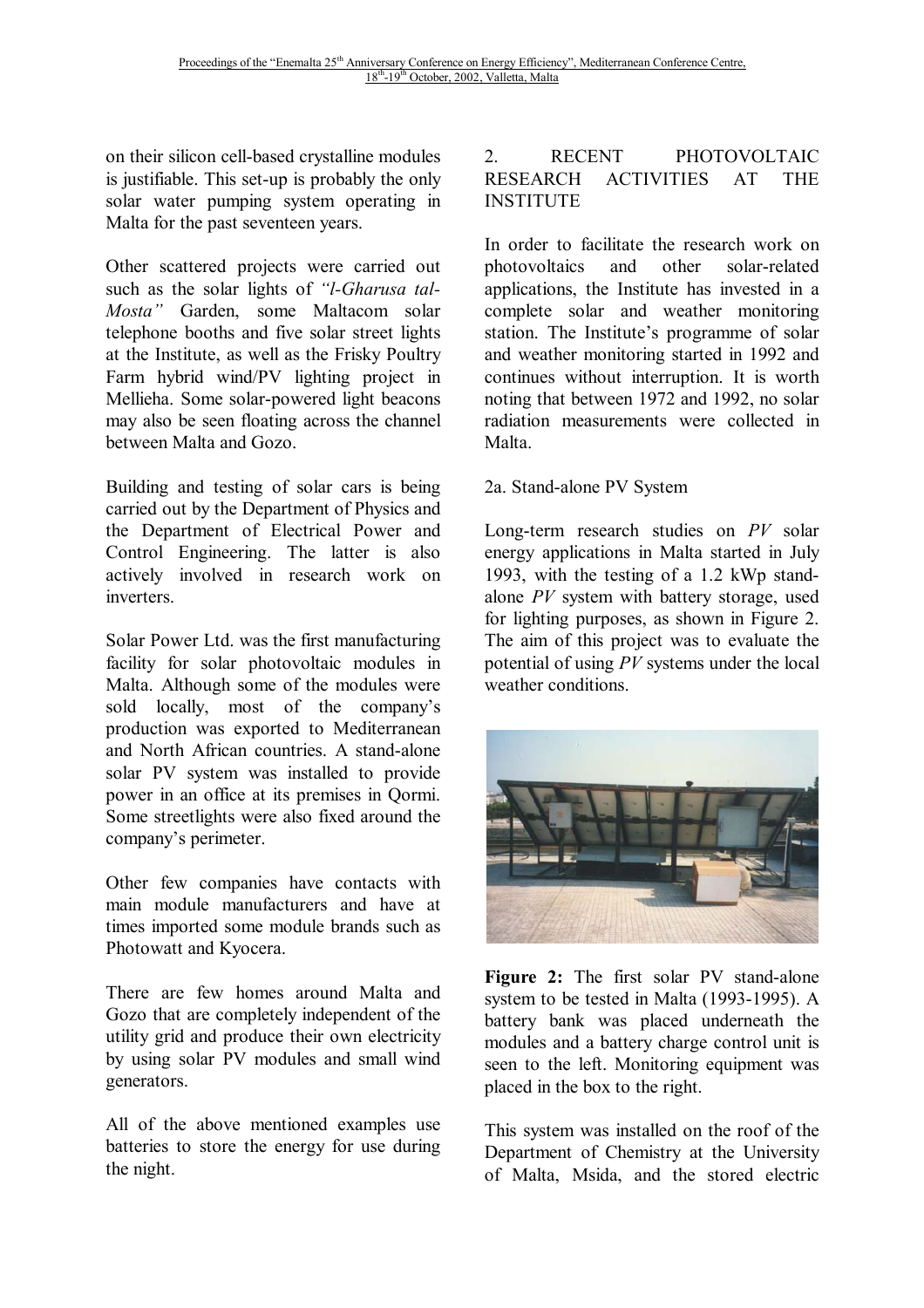on their silicon cell-based crystalline modules is justifiable. This set-up is probably the only solar water pumping system operating in Malta for the past seventeen years.

Other scattered projects were carried out such as the solar lights of *"l-Gharusa tal-Mosta"* Garden, some Maltacom solar telephone booths and five solar street lights at the Institute, as well as the Frisky Poultry Farm hybrid wind/PV lighting project in Mellieha. Some solar-powered light beacons may also be seen floating across the channel between Malta and Gozo.

Building and testing of solar cars is being carried out by the Department of Physics and the Department of Electrical Power and Control Engineering. The latter is also actively involved in research work on inverters.

Solar Power Ltd. was the first manufacturing facility for solar photovoltaic modules in Malta. Although some of the modules were sold locally, most of the company's production was exported to Mediterranean and North African countries. A stand-alone solar PV system was installed to provide power in an office at its premises in Qormi. Some streetlights were also fixed around the company's perimeter.

Other few companies have contacts with main module manufacturers and have at times imported some module brands such as Photowatt and Kyocera.

There are few homes around Malta and Gozo that are completely independent of the utility grid and produce their own electricity by using solar PV modules and small wind generators.

All of the above mentioned examples use batteries to store the energy for use during the night.

## 2. RECENT PHOTOVOLTAIC RESEARCH ACTIVITIES AT THE **INSTITUTE**

In order to facilitate the research work on photovoltaics and other solar-related applications, the Institute has invested in a complete solar and weather monitoring station. The Institute's programme of solar and weather monitoring started in 1992 and continues without interruption. It is worth noting that between 1972 and 1992, no solar radiation measurements were collected in Malta.

#### 2a. Stand-alone PV System

Long-term research studies on *PV* solar energy applications in Malta started in July 1993, with the testing of a 1.2 kWp standalone *PV* system with battery storage, used for lighting purposes, as shown in Figure 2. The aim of this project was to evaluate the potential of using *PV* systems under the local weather conditions.



**Figure 2:** The first solar PV stand-alone system to be tested in Malta (1993-1995). A battery bank was placed underneath the modules and a battery charge control unit is seen to the left. Monitoring equipment was placed in the box to the right.

This system was installed on the roof of the Department of Chemistry at the University of Malta, Msida, and the stored electric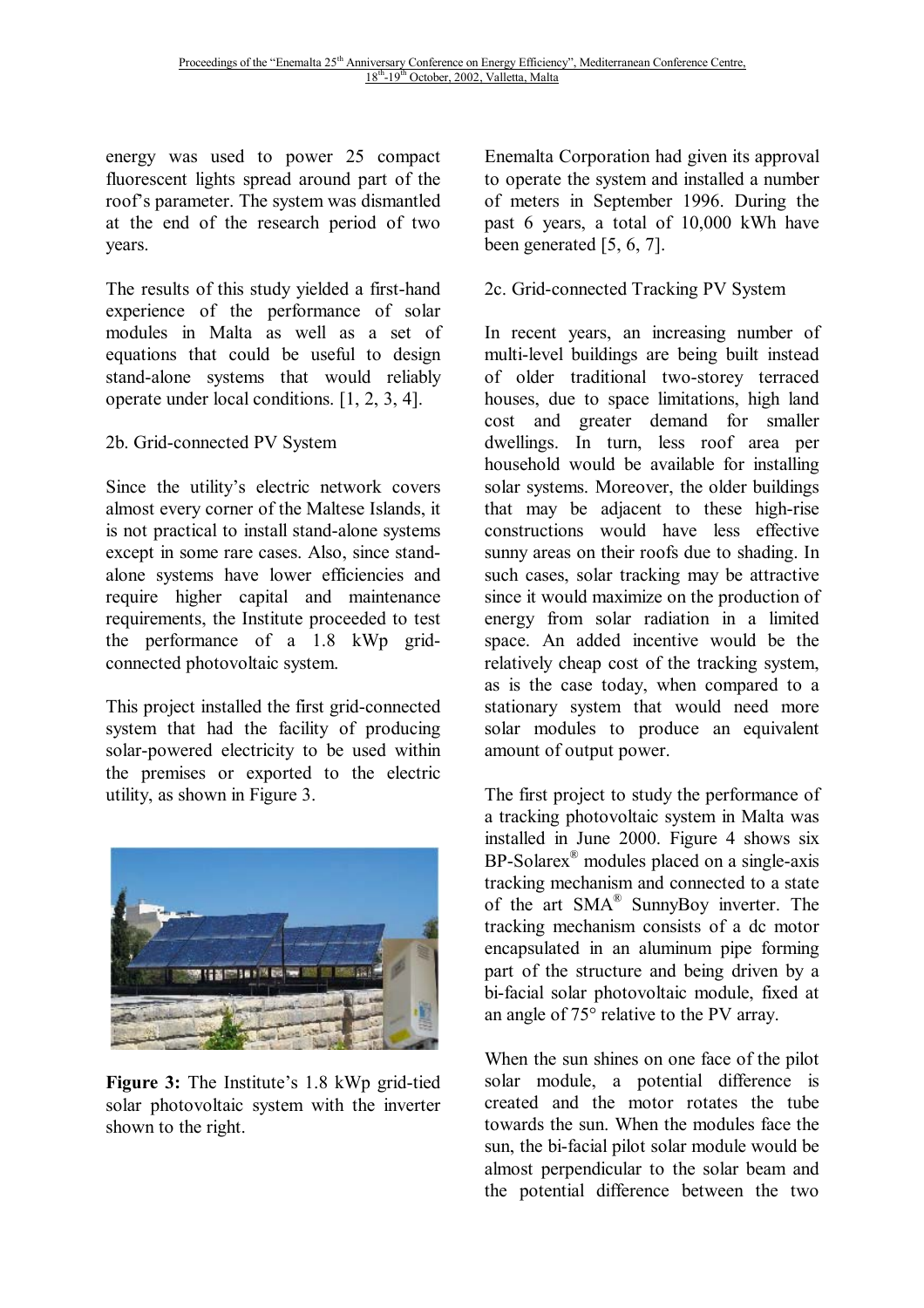energy was used to power 25 compact fluorescent lights spread around part of the roof's parameter. The system was dismantled at the end of the research period of two years.

The results of this study yielded a first-hand experience of the performance of solar modules in Malta as well as a set of equations that could be useful to design stand-alone systems that would reliably operate under local conditions. [1, 2, 3, 4].

2b. Grid-connected PV System

Since the utility's electric network covers almost every corner of the Maltese Islands, it is not practical to install stand-alone systems except in some rare cases. Also, since standalone systems have lower efficiencies and require higher capital and maintenance requirements, the Institute proceeded to test the performance of a 1.8 kWp gridconnected photovoltaic system.

This project installed the first grid-connected system that had the facility of producing solar-powered electricity to be used within the premises or exported to the electric utility, as shown in Figure 3.



**Figure 3:** The Institute's 1.8 kWp grid-tied solar photovoltaic system with the inverter shown to the right.

Enemalta Corporation had given its approval to operate the system and installed a number of meters in September 1996. During the past 6 years, a total of 10,000 kWh have been generated [5, 6, 7].

## 2c. Grid-connected Tracking PV System

In recent years, an increasing number of multi-level buildings are being built instead of older traditional two-storey terraced houses, due to space limitations, high land cost and greater demand for smaller dwellings. In turn, less roof area per household would be available for installing solar systems. Moreover, the older buildings that may be adjacent to these high-rise constructions would have less effective sunny areas on their roofs due to shading. In such cases, solar tracking may be attractive since it would maximize on the production of energy from solar radiation in a limited space. An added incentive would be the relatively cheap cost of the tracking system, as is the case today, when compared to a stationary system that would need more solar modules to produce an equivalent amount of output power.

The first project to study the performance of a tracking photovoltaic system in Malta was installed in June 2000. Figure 4 shows six BP-Solarex® modules placed on a single-axis tracking mechanism and connected to a state of the art SMA® SunnyBoy inverter. The tracking mechanism consists of a dc motor encapsulated in an aluminum pipe forming part of the structure and being driven by a bi-facial solar photovoltaic module, fixed at an angle of 75° relative to the PV array.

When the sun shines on one face of the pilot solar module, a potential difference is created and the motor rotates the tube towards the sun. When the modules face the sun, the bi-facial pilot solar module would be almost perpendicular to the solar beam and the potential difference between the two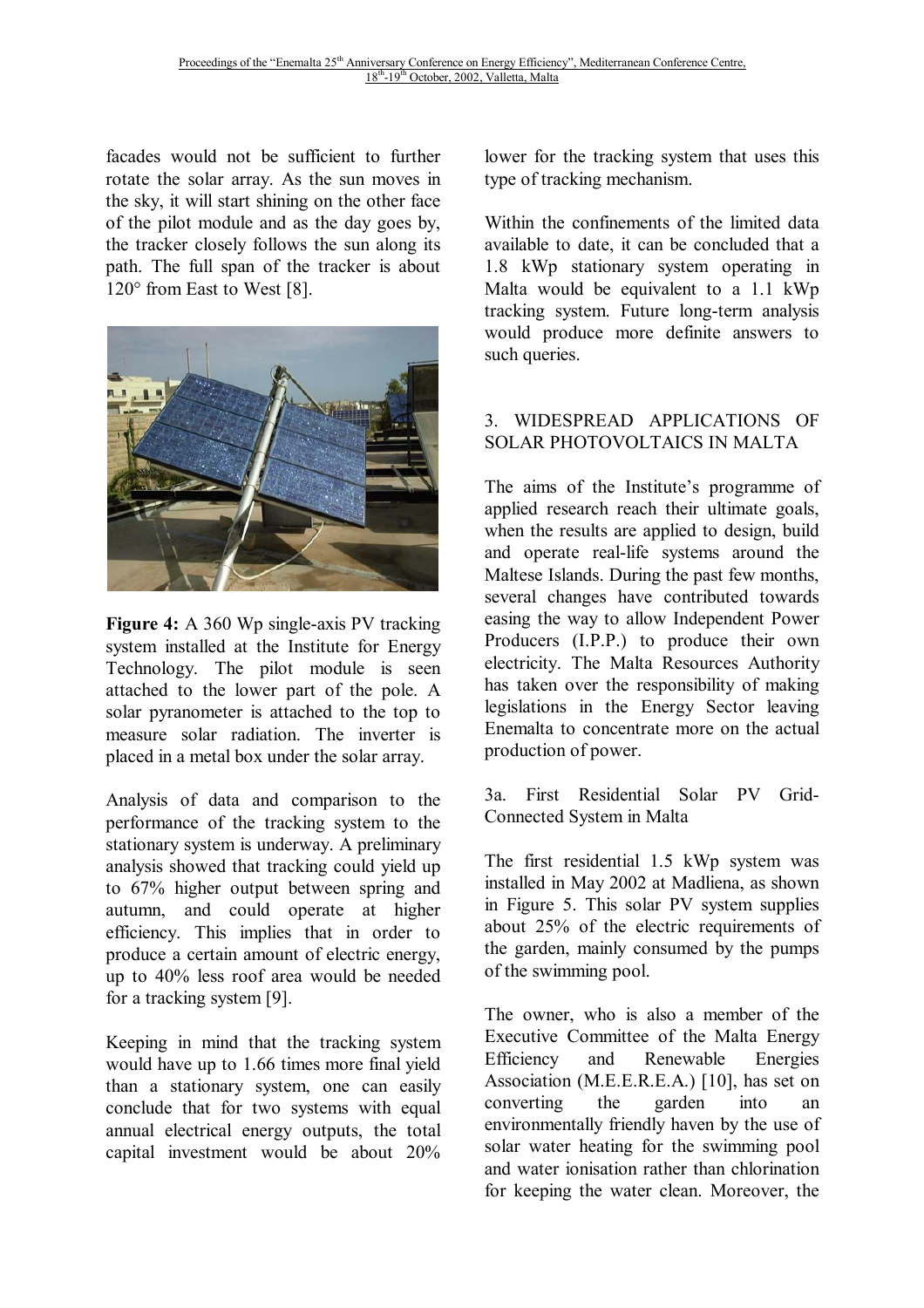facades would not be sufficient to further rotate the solar array. As the sun moves in the sky, it will start shining on the other face of the pilot module and as the day goes by, the tracker closely follows the sun along its path. The full span of the tracker is about 120° from East to West [8].



**Figure 4:** A 360 Wp single-axis PV tracking system installed at the Institute for Energy Technology. The pilot module is seen attached to the lower part of the pole. A solar pyranometer is attached to the top to measure solar radiation. The inverter is placed in a metal box under the solar array.

Analysis of data and comparison to the performance of the tracking system to the stationary system is underway. A preliminary analysis showed that tracking could yield up to 67% higher output between spring and autumn, and could operate at higher efficiency. This implies that in order to produce a certain amount of electric energy, up to 40% less roof area would be needed for a tracking system [9].

Keeping in mind that the tracking system would have up to 1.66 times more final yield than a stationary system, one can easily conclude that for two systems with equal annual electrical energy outputs, the total capital investment would be about 20%

lower for the tracking system that uses this type of tracking mechanism.

Within the confinements of the limited data available to date, it can be concluded that a 1.8 kWp stationary system operating in Malta would be equivalent to a 1.1 kWp tracking system. Future long-term analysis would produce more definite answers to such queries.

## 3. WIDESPREAD APPLICATIONS OF SOLAR PHOTOVOLTAICS IN MALTA

The aims of the Institute's programme of applied research reach their ultimate goals, when the results are applied to design, build and operate real-life systems around the Maltese Islands. During the past few months, several changes have contributed towards easing the way to allow Independent Power Producers (I.P.P.) to produce their own electricity. The Malta Resources Authority has taken over the responsibility of making legislations in the Energy Sector leaving Enemalta to concentrate more on the actual production of power.

3a. First Residential Solar PV Grid-Connected System in Malta

The first residential 1.5 kWp system was installed in May 2002 at Madliena, as shown in Figure 5. This solar PV system supplies about 25% of the electric requirements of the garden, mainly consumed by the pumps of the swimming pool.

The owner, who is also a member of the Executive Committee of the Malta Energy Efficiency and Renewable Energies Association (M.E.E.R.E.A.) [10], has set on converting the garden into an environmentally friendly haven by the use of solar water heating for the swimming pool and water ionisation rather than chlorination for keeping the water clean. Moreover, the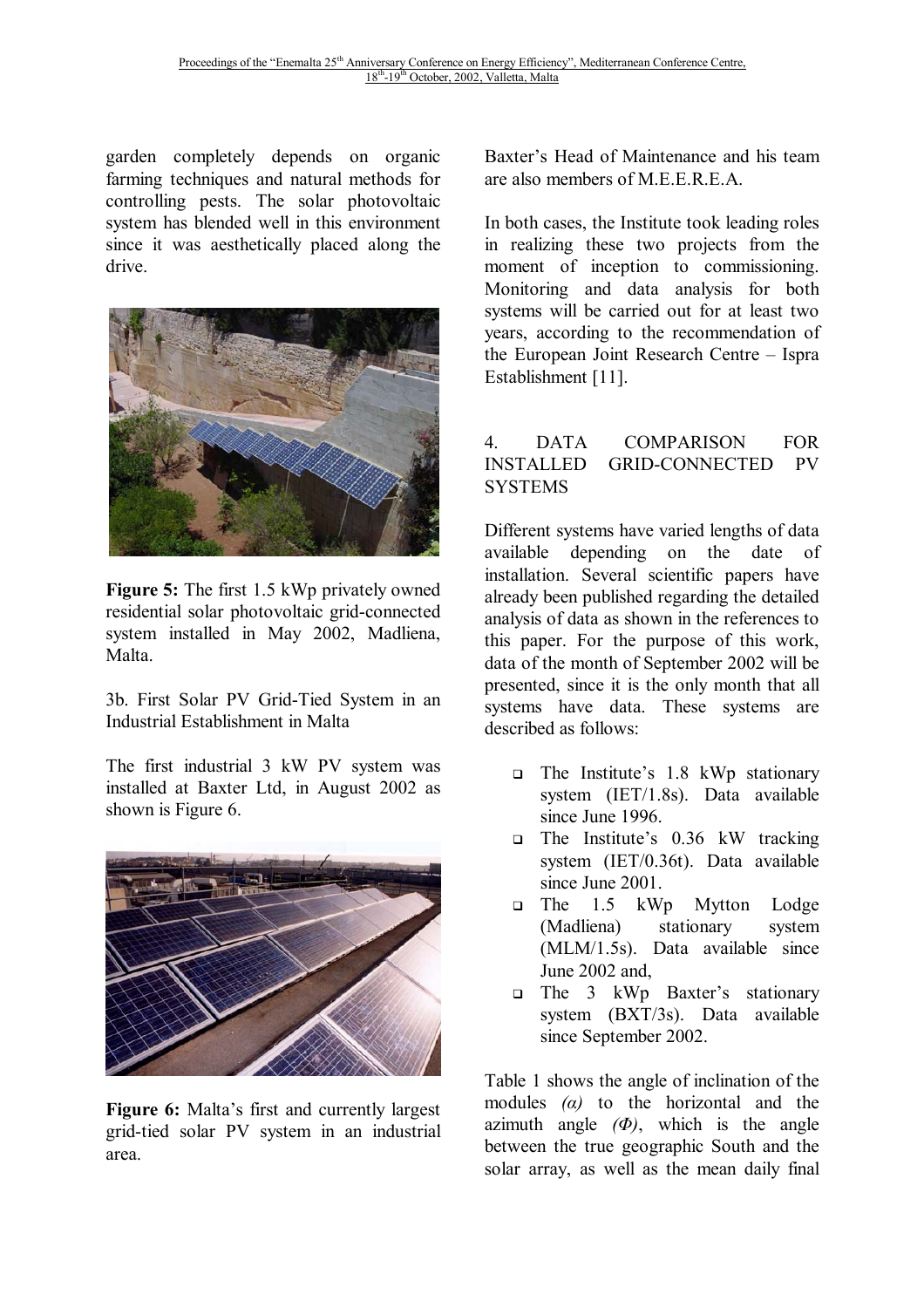garden completely depends on organic farming techniques and natural methods for controlling pests. The solar photovoltaic system has blended well in this environment since it was aesthetically placed along the drive.



**Figure 5:** The first 1.5 kWp privately owned residential solar photovoltaic grid-connected system installed in May 2002, Madliena, Malta.

3b. First Solar PV Grid-Tied System in an Industrial Establishment in Malta

The first industrial 3 kW PV system was installed at Baxter Ltd, in August 2002 as shown is Figure 6.



**Figure 6:** Malta's first and currently largest grid-tied solar PV system in an industrial area.

Baxter's Head of Maintenance and his team are also members of M.E.E.R.E.A.

In both cases, the Institute took leading roles in realizing these two projects from the moment of inception to commissioning. Monitoring and data analysis for both systems will be carried out for at least two years, according to the recommendation of the European Joint Research Centre – Ispra Establishment [11].

## 4. DATA COMPARISON FOR INSTALLED GRID-CONNECTED PV SYSTEMS

Different systems have varied lengths of data available depending on the date of installation. Several scientific papers have already been published regarding the detailed analysis of data as shown in the references to this paper. For the purpose of this work, data of the month of September 2002 will be presented, since it is the only month that all systems have data. These systems are described as follows:

- The Institute's 1.8 kWp stationary system (IET/1.8s). Data available since June 1996.
- The Institute's 0.36 kW tracking system (IET/0.36t). Data available since June 2001.
- The 1.5 kWp Mytton Lodge (Madliena) stationary system (MLM/1.5s). Data available since June 2002 and,
- The 3 kWp Baxter's stationary system (BXT/3s). Data available since September 2002.

Table 1 shows the angle of inclination of the modules *(α)* to the horizontal and the azimuth angle *(Φ)*, which is the angle between the true geographic South and the solar array, as well as the mean daily final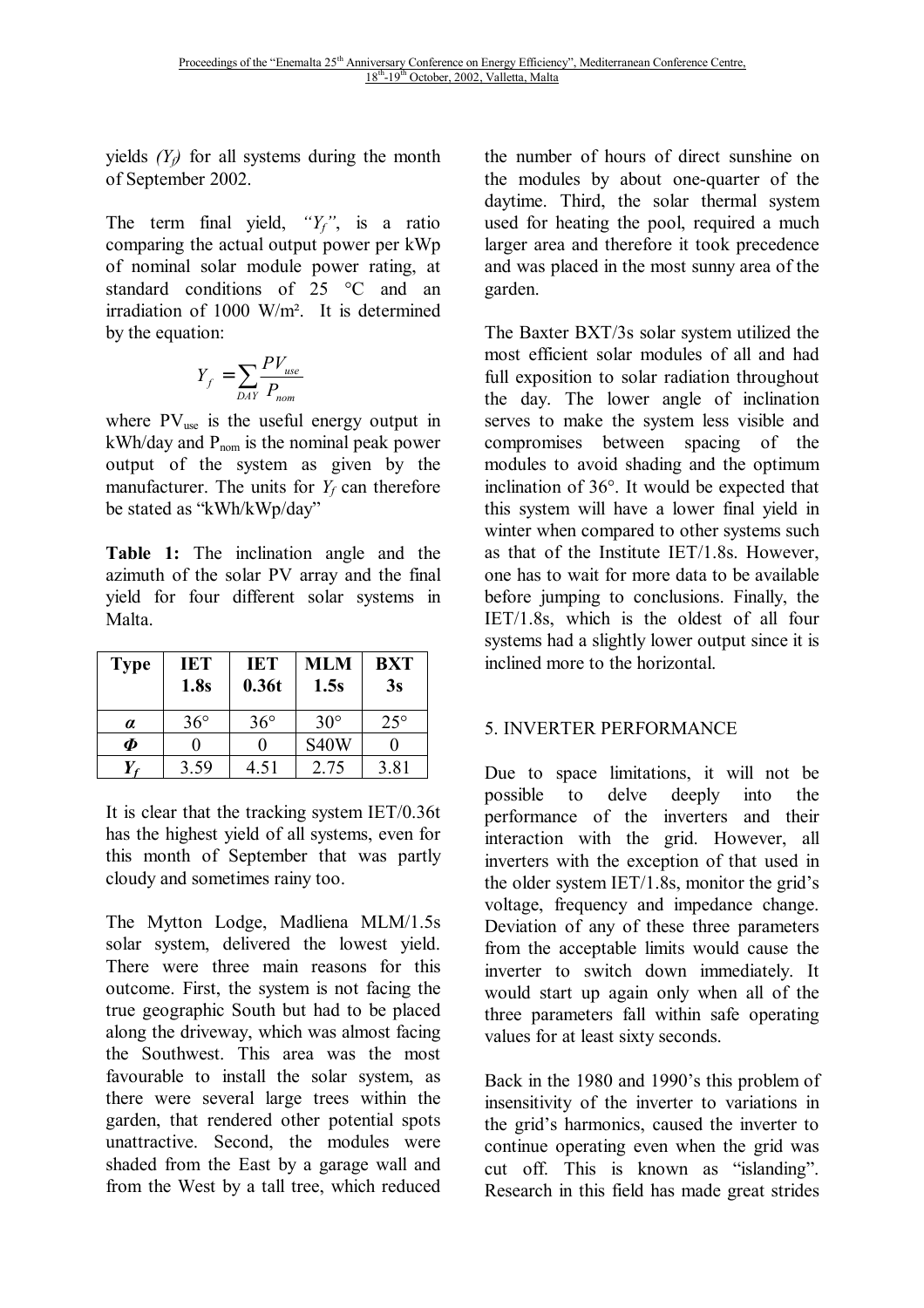yields  $(Y_f)$  for all systems during the month of September 2002.

The term final yield, *"Yf"*, is a ratio comparing the actual output power per kWp of nominal solar module power rating, at standard conditions of 25 °C and an irradiation of 1000 W/m². It is determined by the equation:

$$
Y_f = \sum_{DAY} \frac{PV_{use}}{P_{nom}}
$$

where  $PV_{use}$  is the useful energy output in  $kWh/day$  and  $P_{nom}$  is the nominal peak power output of the system as given by the manufacturer. The units for  $Y_f$  can therefore be stated as "kWh/kWp/day"

**Table 1:** The inclination angle and the azimuth of the solar PV array and the final yield for four different solar systems in Malta.

| <b>Type</b>            | IET<br>1.8s  | <b>IET</b><br>0.36t | MLM<br>1.5s | <b>BXT</b><br>3s |
|------------------------|--------------|---------------------|-------------|------------------|
| $\alpha$               | $36^{\circ}$ | $36^{\circ}$        | $30^\circ$  | $25^{\circ}$     |
| $\boldsymbol{\varPhi}$ |              |                     | <b>S40W</b> |                  |
|                        | 3.59         | 4.51                | 2.75        | 3.81             |

It is clear that the tracking system IET/0.36t has the highest yield of all systems, even for this month of September that was partly cloudy and sometimes rainy too.

The Mytton Lodge, Madliena MLM/1.5s solar system, delivered the lowest yield. There were three main reasons for this outcome. First, the system is not facing the true geographic South but had to be placed along the driveway, which was almost facing the Southwest. This area was the most favourable to install the solar system, as there were several large trees within the garden, that rendered other potential spots unattractive. Second, the modules were shaded from the East by a garage wall and from the West by a tall tree, which reduced the number of hours of direct sunshine on the modules by about one-quarter of the daytime. Third, the solar thermal system used for heating the pool, required a much larger area and therefore it took precedence and was placed in the most sunny area of the garden.

The Baxter BXT/3s solar system utilized the most efficient solar modules of all and had full exposition to solar radiation throughout the day. The lower angle of inclination serves to make the system less visible and compromises between spacing of the modules to avoid shading and the optimum inclination of 36°. It would be expected that this system will have a lower final yield in winter when compared to other systems such as that of the Institute IET/1.8s. However, one has to wait for more data to be available before jumping to conclusions. Finally, the IET/1.8s, which is the oldest of all four systems had a slightly lower output since it is inclined more to the horizontal.

#### 5. INVERTER PERFORMANCE

Due to space limitations, it will not be possible to delve deeply into the performance of the inverters and their interaction with the grid. However, all inverters with the exception of that used in the older system IET/1.8s, monitor the grid's voltage, frequency and impedance change. Deviation of any of these three parameters from the acceptable limits would cause the inverter to switch down immediately. It would start up again only when all of the three parameters fall within safe operating values for at least sixty seconds.

Back in the 1980 and 1990's this problem of insensitivity of the inverter to variations in the grid's harmonics, caused the inverter to continue operating even when the grid was cut off. This is known as "islanding". Research in this field has made great strides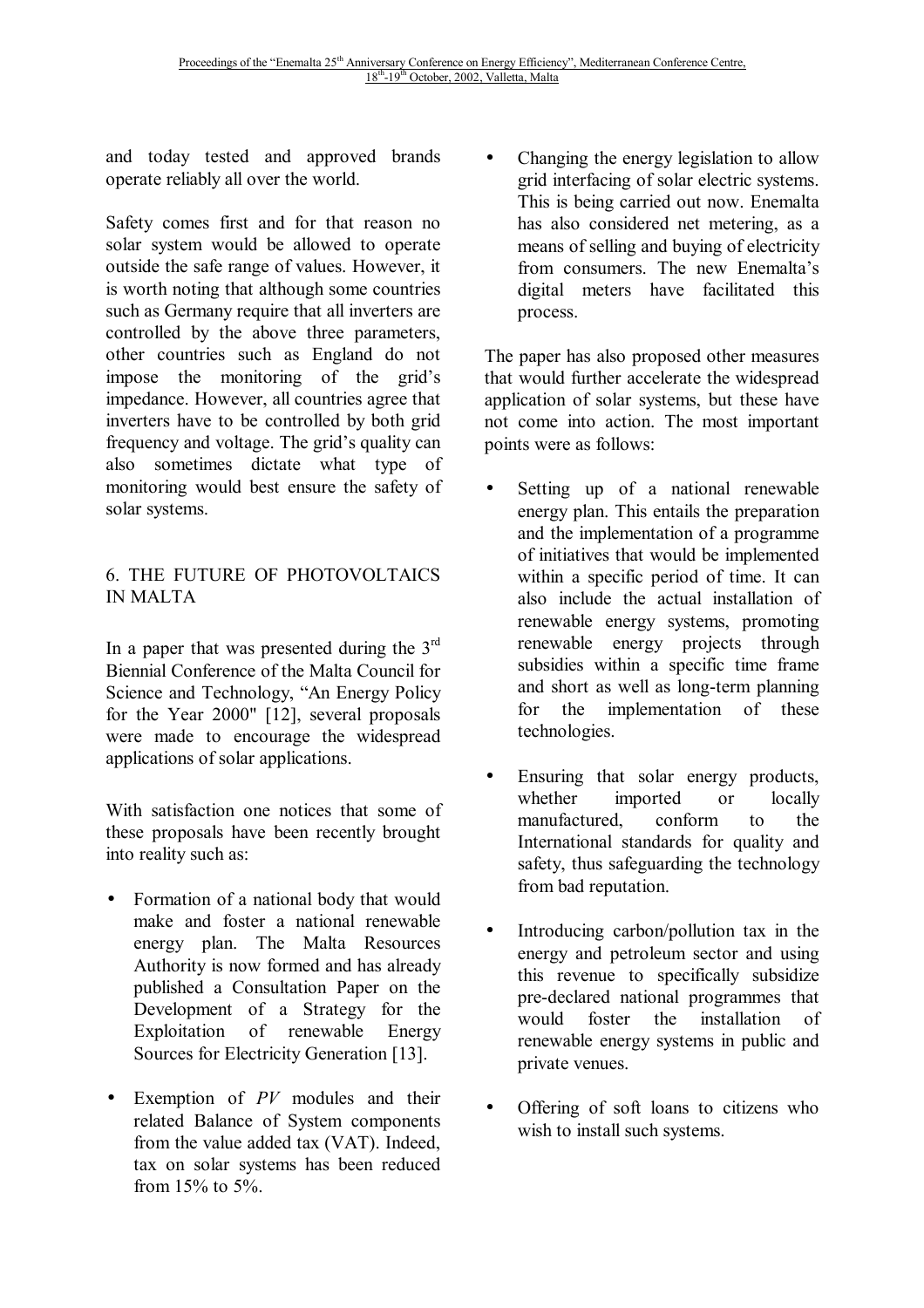and today tested and approved brands operate reliably all over the world.

Safety comes first and for that reason no solar system would be allowed to operate outside the safe range of values. However, it is worth noting that although some countries such as Germany require that all inverters are controlled by the above three parameters, other countries such as England do not impose the monitoring of the grid's impedance. However, all countries agree that inverters have to be controlled by both grid frequency and voltage. The grid's quality can also sometimes dictate what type of monitoring would best ensure the safety of solar systems.

## 6. THE FUTURE OF PHOTOVOLTAICS IN MALTA

In a paper that was presented during the  $3<sup>rd</sup>$ Biennial Conference of the Malta Council for Science and Technology, "An Energy Policy for the Year 2000" [12], several proposals were made to encourage the widespread applications of solar applications.

With satisfaction one notices that some of these proposals have been recently brought into reality such as:

- Formation of a national body that would make and foster a national renewable energy plan. The Malta Resources Authority is now formed and has already published a Consultation Paper on the Development of a Strategy for the Exploitation of renewable Energy Sources for Electricity Generation [13].
- Exemption of *PV* modules and their related Balance of System components from the value added tax (VAT). Indeed, tax on solar systems has been reduced from 15% to 5%.

• Changing the energy legislation to allow grid interfacing of solar electric systems. This is being carried out now. Enemalta has also considered net metering, as a means of selling and buying of electricity from consumers. The new Enemalta's digital meters have facilitated this process.

The paper has also proposed other measures that would further accelerate the widespread application of solar systems, but these have not come into action. The most important points were as follows:

- Setting up of a national renewable energy plan. This entails the preparation and the implementation of a programme of initiatives that would be implemented within a specific period of time. It can also include the actual installation of renewable energy systems, promoting renewable energy projects through subsidies within a specific time frame and short as well as long-term planning for the implementation of these technologies.
- Ensuring that solar energy products, whether imported or locally manufactured, conform to the International standards for quality and safety, thus safeguarding the technology from bad reputation.
- Introducing carbon/pollution tax in the energy and petroleum sector and using this revenue to specifically subsidize pre-declared national programmes that would foster the installation of renewable energy systems in public and private venues.
- Offering of soft loans to citizens who wish to install such systems.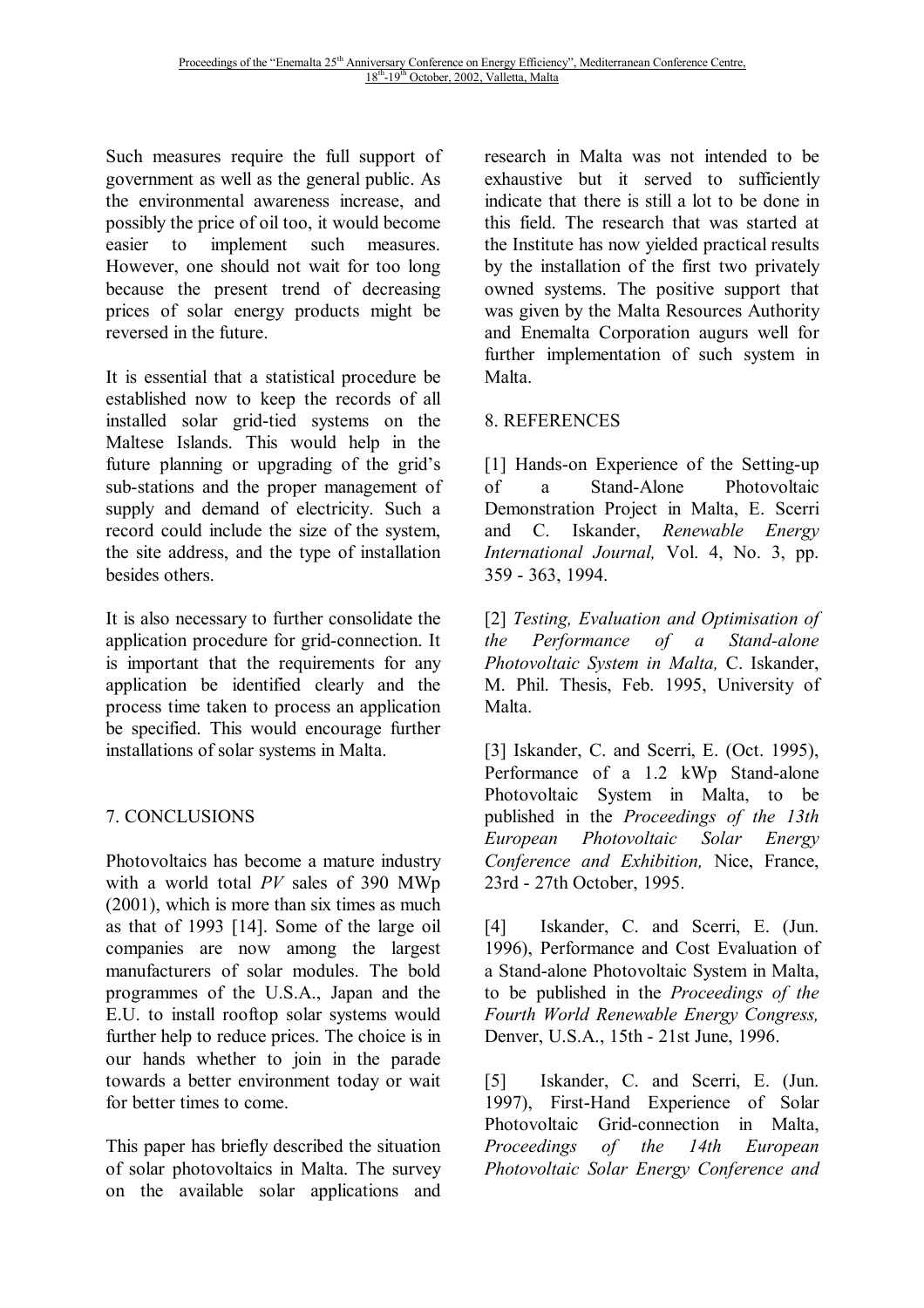Such measures require the full support of government as well as the general public. As the environmental awareness increase, and possibly the price of oil too, it would become easier to implement such measures. However, one should not wait for too long because the present trend of decreasing prices of solar energy products might be reversed in the future.

It is essential that a statistical procedure be established now to keep the records of all installed solar grid-tied systems on the Maltese Islands. This would help in the future planning or upgrading of the grid's sub-stations and the proper management of supply and demand of electricity. Such a record could include the size of the system, the site address, and the type of installation besides others.

It is also necessary to further consolidate the application procedure for grid-connection. It is important that the requirements for any application be identified clearly and the process time taken to process an application be specified. This would encourage further installations of solar systems in Malta.

# 7. CONCLUSIONS

Photovoltaics has become a mature industry with a world total *PV* sales of 390 MWp (2001), which is more than six times as much as that of 1993 [14]. Some of the large oil companies are now among the largest manufacturers of solar modules. The bold programmes of the U.S.A., Japan and the E.U. to install rooftop solar systems would further help to reduce prices. The choice is in our hands whether to join in the parade towards a better environment today or wait for better times to come.

This paper has briefly described the situation of solar photovoltaics in Malta. The survey on the available solar applications and research in Malta was not intended to be exhaustive but it served to sufficiently indicate that there is still a lot to be done in this field. The research that was started at the Institute has now yielded practical results by the installation of the first two privately owned systems. The positive support that was given by the Malta Resources Authority and Enemalta Corporation augurs well for further implementation of such system in Malta.

# 8. REFERENCES

[1] Hands-on Experience of the Setting-up of a Stand-Alone Photovoltaic Demonstration Project in Malta, E. Scerri and C. Iskander, *Renewable Energy International Journal,* Vol. 4, No. 3, pp. 359 - 363, 1994.

[2] *Testing, Evaluation and Optimisation of the Performance of a Stand-alone Photovoltaic System in Malta,* C. Iskander, M. Phil. Thesis, Feb. 1995, University of Malta.

[3] Iskander, C. and Scerri, E. (Oct. 1995), Performance of a 1.2 kWp Stand-alone Photovoltaic System in Malta, to be published in the *Proceedings of the 13th European Photovoltaic Solar Energy Conference and Exhibition,* Nice, France, 23rd - 27th October, 1995.

[4] Iskander, C. and Scerri, E. (Jun. 1996), Performance and Cost Evaluation of a Stand-alone Photovoltaic System in Malta, to be published in the *Proceedings of the Fourth World Renewable Energy Congress,* Denver, U.S.A., 15th - 21st June, 1996.

[5] Iskander, C. and Scerri, E. (Jun. 1997), First-Hand Experience of Solar Photovoltaic Grid-connection in Malta, *Proceedings of the 14th European Photovoltaic Solar Energy Conference and*